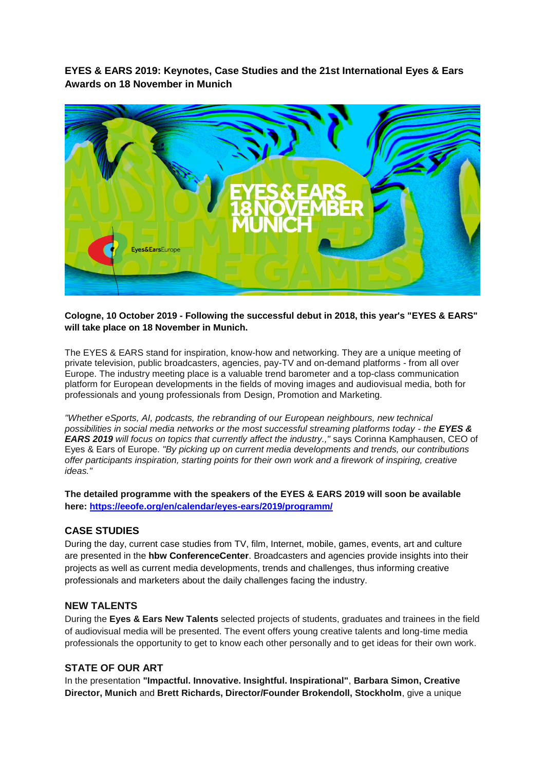**EYES & EARS 2019: Keynotes, Case Studies and the 21st International Eyes & Ears Awards on 18 November in Munich**



### **Cologne, 10 October 2019 - Following the successful debut in 2018, this year's "EYES & EARS" will take place on 18 November in Munich.**

The EYES & EARS stand for inspiration, know-how and networking. They are a unique meeting of private television, public broadcasters, agencies, pay-TV and on-demand platforms - from all over Europe. The industry meeting place is a valuable trend barometer and a top-class communication platform for European developments in the fields of moving images and audiovisual media, both for professionals and young professionals from Design, Promotion and Marketing.

*"Whether eSports, AI, podcasts, the rebranding of our European neighbours, new technical possibilities in social media networks or the most successful streaming platforms today - the EYES & EARS 2019 will focus on topics that currently affect the industry.,"* says Corinna Kamphausen, CEO of Eyes & Ears of Europe. *"By picking up on current media developments and trends, our contributions offer participants inspiration, starting points for their own work and a firework of inspiring, creative ideas."*

**The detailed programme with the speakers of the EYES & EARS 2019 will soon be available here:<https://eeofe.org/en/calendar/eyes-ears/2019/programm/>**

### **CASE STUDIES**

During the day, current case studies from TV, film, Internet, mobile, games, events, art and culture are presented in the **hbw ConferenceCenter**. Broadcasters and agencies provide insights into their projects as well as current media developments, trends and challenges, thus informing creative professionals and marketers about the daily challenges facing the industry.

### **NEW TALENTS**

During the **Eyes & Ears New Talents** selected projects of students, graduates and trainees in the field of audiovisual media will be presented. The event offers young creative talents and long-time media professionals the opportunity to get to know each other personally and to get ideas for their own work.

# **STATE OF OUR ART**

In the presentation **"Impactful. Innovative. Insightful. Inspirational"**, **Barbara Simon, Creative Director, Munich** and **Brett Richards, Director/Founder Brokendoll, Stockholm**, give a unique